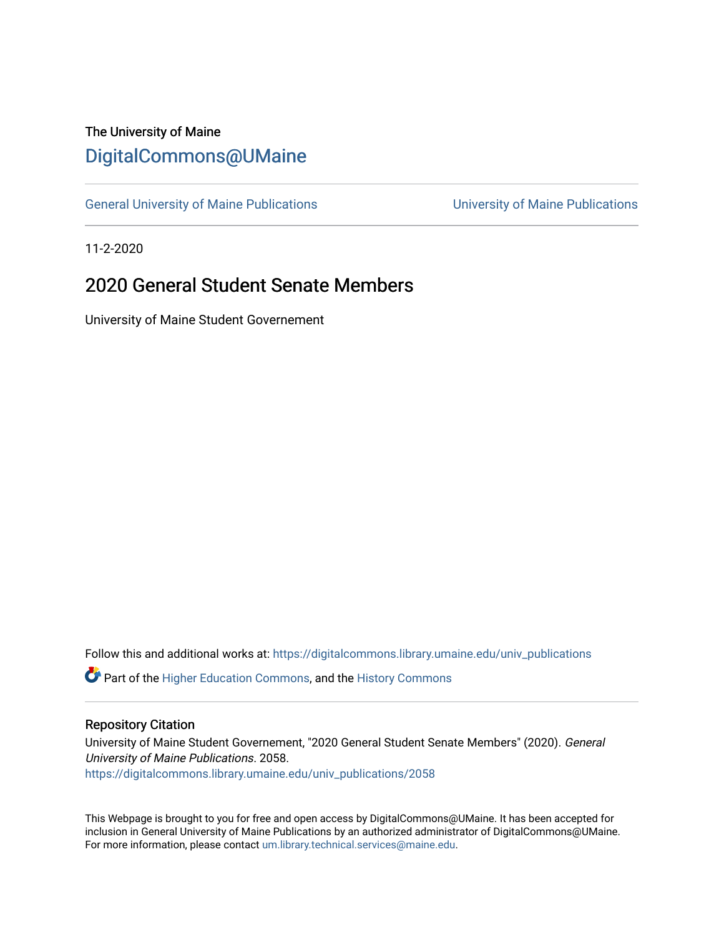# The University of Maine [DigitalCommons@UMaine](https://digitalcommons.library.umaine.edu/)

[General University of Maine Publications](https://digitalcommons.library.umaine.edu/univ_publications) [University of Maine Publications](https://digitalcommons.library.umaine.edu/umaine_publications) 

11-2-2020

# 2020 General Student Senate Members

University of Maine Student Governement

Follow this and additional works at: [https://digitalcommons.library.umaine.edu/univ\\_publications](https://digitalcommons.library.umaine.edu/univ_publications?utm_source=digitalcommons.library.umaine.edu%2Funiv_publications%2F2058&utm_medium=PDF&utm_campaign=PDFCoverPages) 

**C** Part of the [Higher Education Commons,](http://network.bepress.com/hgg/discipline/1245?utm_source=digitalcommons.library.umaine.edu%2Funiv_publications%2F2058&utm_medium=PDF&utm_campaign=PDFCoverPages) and the [History Commons](http://network.bepress.com/hgg/discipline/489?utm_source=digitalcommons.library.umaine.edu%2Funiv_publications%2F2058&utm_medium=PDF&utm_campaign=PDFCoverPages)

#### Repository Citation

University of Maine Student Governement, "2020 General Student Senate Members" (2020). General University of Maine Publications. 2058. [https://digitalcommons.library.umaine.edu/univ\\_publications/2058](https://digitalcommons.library.umaine.edu/univ_publications/2058?utm_source=digitalcommons.library.umaine.edu%2Funiv_publications%2F2058&utm_medium=PDF&utm_campaign=PDFCoverPages)

This Webpage is brought to you for free and open access by DigitalCommons@UMaine. It has been accepted for inclusion in General University of Maine Publications by an authorized administrator of DigitalCommons@UMaine. For more information, please contact [um.library.technical.services@maine.edu](mailto:um.library.technical.services@maine.edu).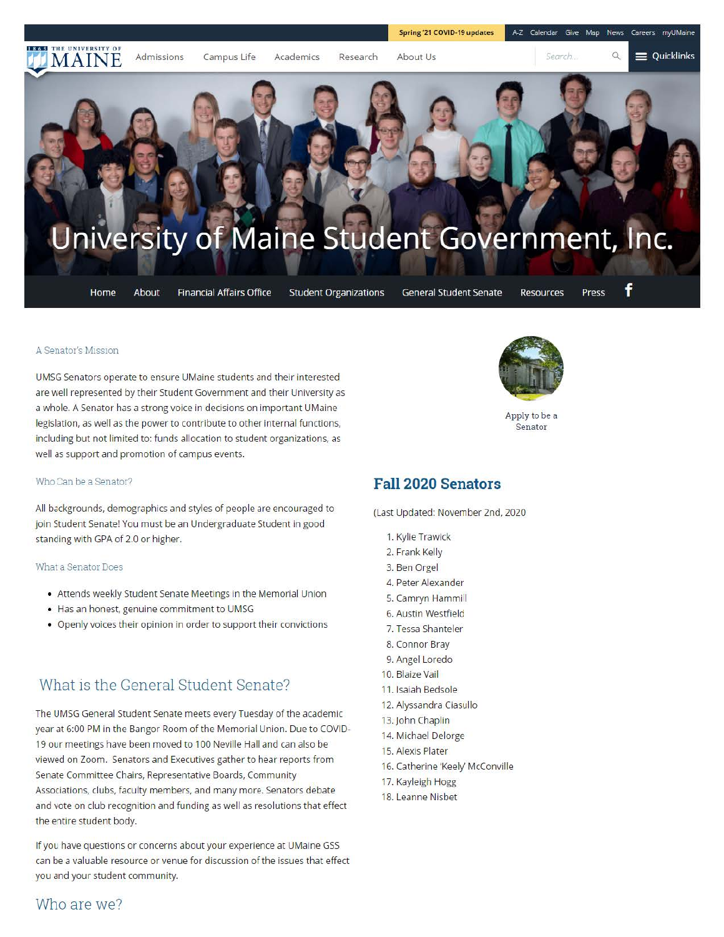

#### A Senator's M1ss10n

UMSG Senators operate to ensure UMaine students and their interested are well represented by their Student Government and their University as a whole. A Senator has a strong voice in decisions on important UMaine legislation, as well as the power to contribute to other internal functions, including but not limited to: funds allocation to student organizations, as well as support and promotion of campus events.

#### Who Can be a Senator?

All backgrounds, demographics and styles of people are encouraged to join Student Senate! You must be an Undergraduate Student in good standing with GPA of 2.0 or higher.

#### What a Senator Does

- Attends weekly Student Senate Meetings in the Memorial Union
- Has an honest, genuine commitment to UMSG
- Openly voices their opinion in order to support their convictions

## What is the General Student Senate?

The UMSG General Student Senate meets every Tuesday of the academic year at 6:00 PM in the Bangor Room of the Memorial Union. Due to COVID-19 our meetings have been moved to 100 Neville Hall and can also be viewed on Zoom. Senators and Executives gather to hear reports from Senate Committee Chairs, Representative Boards, Community Associations, clubs, faculty members, and many more. Senators debate and vote on club recognition and funding as well as resolutions that effect the entire student body.

If you have questions or concerns about your experience at UMaine GSS can be a valuable resource or venue for discussion of the issues that effect you and your student community.



Apply to be a **Senator** 

### **Fall 2020 Senators**

(Last Updated: November 2nd, 2020

- **1.** Kylie Trawick
- 2. Frank Kelly
- 3. Ben Orgel
- 4. Peter Alexander
- 5. Camryn Hammi I
- 6. Austin Westfield
- 7. Tessa Shanteler
- 8. Connor Bray
- 9. Angel Loredo
- 10. Blaize Vail
- **11 .** Isaiah Bedsole
- 12. Alyssandra Ciasullo
- 13. John Chaplin
- 14. Michael Delorge
- 15. Alexis Plater
- 16. Catherine 'Keely' McConville
- 17. Kayleigh Hogg
- 18. Leanne Nisbet